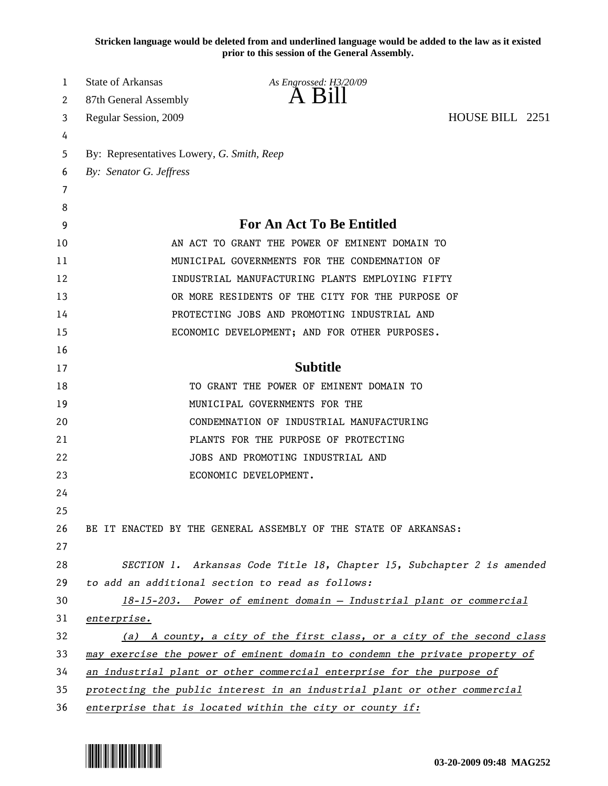**Stricken language would be deleted from and underlined language would be added to the law as it existed prior to this session of the General Assembly.**

| 1  | <b>State of Arkansas</b>                   | As Engrossed: H3/20/09                                                      |                 |  |
|----|--------------------------------------------|-----------------------------------------------------------------------------|-----------------|--|
| 2  | 87th General Assembly                      | $A$ $B11$                                                                   |                 |  |
| 3  | Regular Session, 2009                      |                                                                             | HOUSE BILL 2251 |  |
| 4  |                                            |                                                                             |                 |  |
| 5  | By: Representatives Lowery, G. Smith, Reep |                                                                             |                 |  |
| 6  | By: Senator G. Jeffress                    |                                                                             |                 |  |
| 7  |                                            |                                                                             |                 |  |
| 8  |                                            |                                                                             |                 |  |
| 9  |                                            | For An Act To Be Entitled                                                   |                 |  |
| 10 |                                            | AN ACT TO GRANT THE POWER OF EMINENT DOMAIN TO                              |                 |  |
| 11 |                                            | MUNICIPAL GOVERNMENTS FOR THE CONDEMNATION OF                               |                 |  |
| 12 |                                            | INDUSTRIAL MANUFACTURING PLANTS EMPLOYING FIFTY                             |                 |  |
| 13 |                                            | OR MORE RESIDENTS OF THE CITY FOR THE PURPOSE OF                            |                 |  |
| 14 |                                            | PROTECTING JOBS AND PROMOTING INDUSTRIAL AND                                |                 |  |
| 15 |                                            | ECONOMIC DEVELOPMENT; AND FOR OTHER PURPOSES.                               |                 |  |
| 16 |                                            |                                                                             |                 |  |
| 17 |                                            | <b>Subtitle</b>                                                             |                 |  |
| 18 |                                            | TO GRANT THE POWER OF EMINENT DOMAIN TO                                     |                 |  |
| 19 |                                            | MUNICIPAL GOVERNMENTS FOR THE                                               |                 |  |
| 20 |                                            | CONDEMNATION OF INDUSTRIAL MANUFACTURING                                    |                 |  |
| 21 |                                            | PLANTS FOR THE PURPOSE OF PROTECTING                                        |                 |  |
| 22 |                                            | JOBS AND PROMOTING INDUSTRIAL AND                                           |                 |  |
| 23 |                                            | ECONOMIC DEVELOPMENT.                                                       |                 |  |
| 24 |                                            |                                                                             |                 |  |
| 25 |                                            |                                                                             |                 |  |
| 26 |                                            | BE IT ENACTED BY THE GENERAL ASSEMBLY OF THE STATE OF ARKANSAS:             |                 |  |
| 27 |                                            |                                                                             |                 |  |
| 28 |                                            | SECTION 1. Arkansas Code Title 18, Chapter 15, Subchapter 2 is amended      |                 |  |
| 29 |                                            | to add an additional section to read as follows:                            |                 |  |
| 30 |                                            | 18-15-203. Power of eminent domain - Industrial plant or commercial         |                 |  |
| 31 | enterprise.                                |                                                                             |                 |  |
| 32 |                                            | (a) A county, a city of the first class, or a city of the second class      |                 |  |
| 33 |                                            | may exercise the power of eminent domain to condemn the private property of |                 |  |
| 34 |                                            | an industrial plant or other commercial enterprise for the purpose of       |                 |  |
| 35 |                                            | protecting the public interest in an industrial plant or other commercial   |                 |  |
| 36 |                                            | enterprise that is located within the city or county if:                    |                 |  |

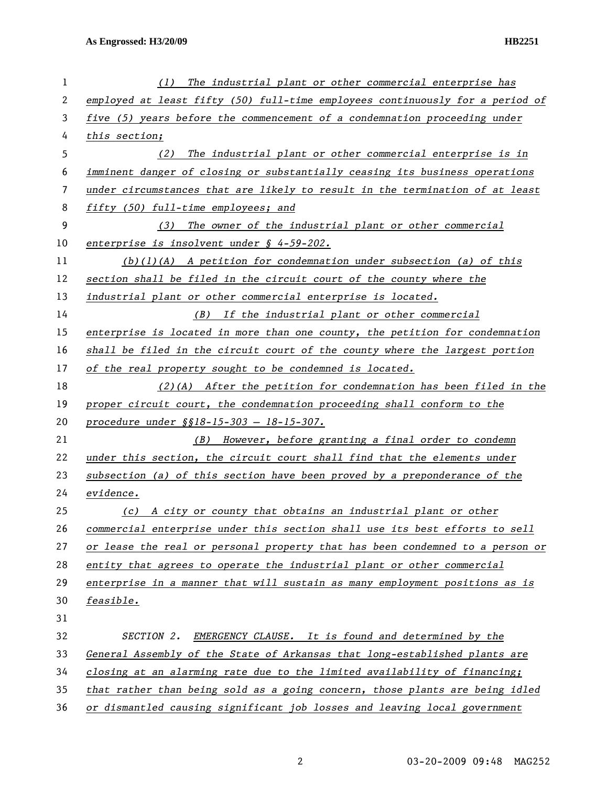| 1  | (1)<br>The industrial plant or other commercial enterprise has                |
|----|-------------------------------------------------------------------------------|
| 2  | employed at least fifty (50) full-time employees continuously for a period of |
| 3  | five (5) years before the commencement of a condemnation proceeding under     |
| 4  | this section;                                                                 |
| 5  | The industrial plant or other commercial enterprise is in<br>(2)              |
| 6  | imminent danger of closing or substantially ceasing its business operations   |
| 7  | under circumstances that are likely to result in the termination of at least  |
| 8  | fifty (50) full-time employees; and                                           |
| 9  | The owner of the industrial plant or other commercial<br>(3)                  |
| 10 | enterprise is insolvent under $\int$ 4-59-202.                                |
| 11 | $(b)(1)(A)$ A petition for condemnation under subsection (a) of this          |
| 12 | section shall be filed in the circuit court of the county where the           |
| 13 | industrial plant or other commercial enterprise is located.                   |
| 14 | (B) If the industrial plant or other commercial                               |
| 15 | enterprise is located in more than one county, the petition for condemnation  |
| 16 | shall be filed in the circuit court of the county where the largest portion   |
| 17 | of the real property sought to be condemned is located.                       |
| 18 | $(2)$ (A) After the petition for condemnation has been filed in the           |
| 19 | proper circuit court, the condemnation proceeding shall conform to the        |
| 20 | procedure under §§18-15-303 - 18-15-307.                                      |
| 21 | (B) However, before granting a final order to condemn                         |
| 22 | under this section, the circuit court shall find that the elements under      |
| 23 | subsection (a) of this section have been proved by a preponderance of the     |
| 24 | evidence.                                                                     |
| 25 | (c) A city or county that obtains an industrial plant or other                |
| 26 | commercial enterprise under this section shall use its best efforts to sell   |
| 27 | or lease the real or personal property that has been condemned to a person or |
| 28 | entity that agrees to operate the industrial plant or other commercial        |
| 29 | enterprise in a manner that will sustain as many employment positions as is   |
| 30 | feasible.                                                                     |
| 31 |                                                                               |
| 32 | SECTION 2.<br>EMERGENCY CLAUSE. It is found and determined by the             |
| 33 | General Assembly of the State of Arkansas that long-established plants are    |
| 34 | closing at an alarming rate due to the limited availability of financing;     |
| 35 | that rather than being sold as a going concern, those plants are being idled  |
| 36 | or dismantled causing significant job losses and leaving local government     |